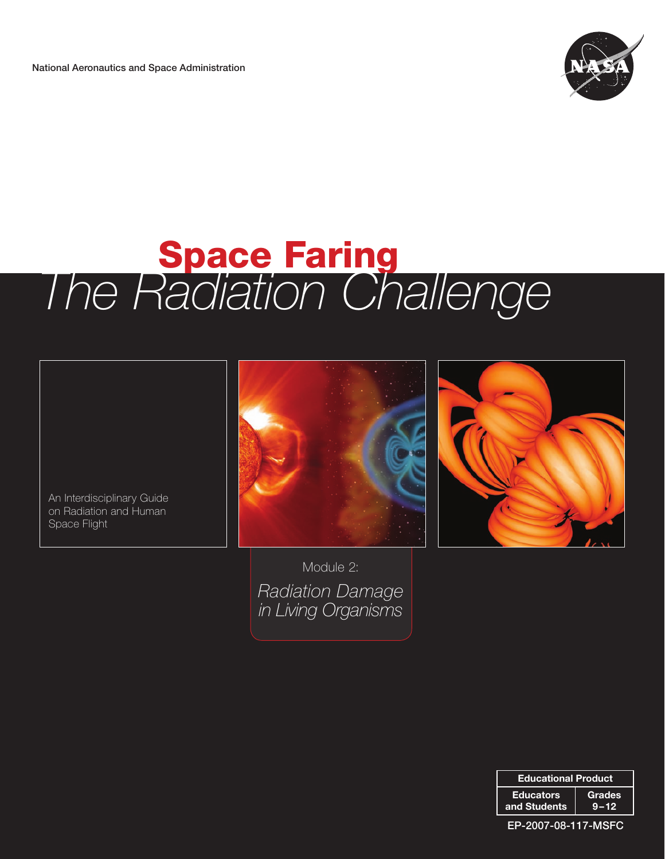National Aeronautics and Space Administration



# **Space Faring** *The Radiation Challenge*

An Interdisciplinary Guide on Radiation and Human Space Flight





Module 2: *Radiation Damage in Living Organisms*

| <b>Educational Product</b> |          |
|----------------------------|----------|
| <b>Educators</b>           | Grades   |
| and Students               | $9 - 12$ |

EP-2007-08-117-MSFC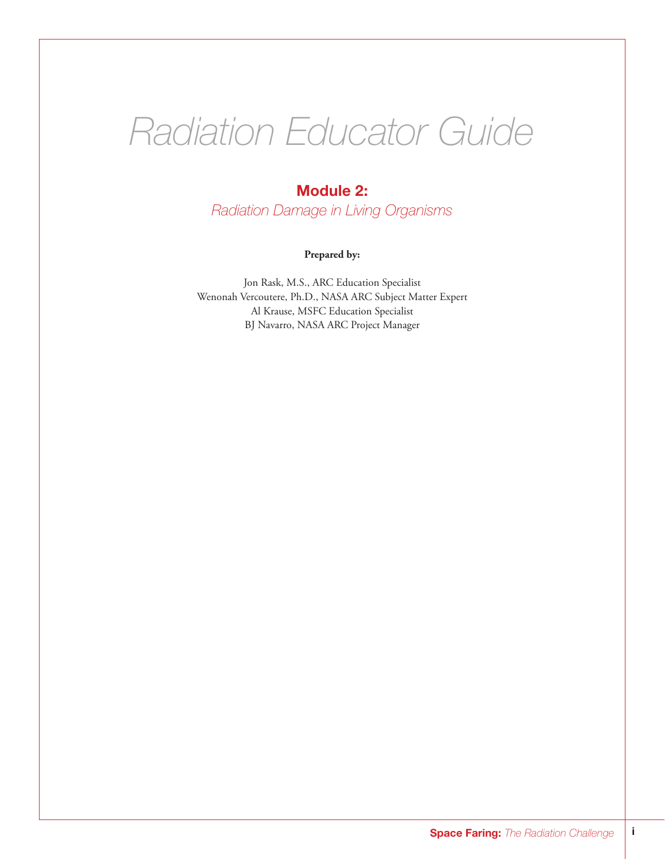# *Radiation Educator Guide*

## Module 2:

*Radiation Damage in Living Organisms*

#### **Prepared by:**

Jon Rask, M.S., ARC Education Specialist Wenonah Vercoutere, Ph.D., NASA ARC Subject Matter Expert Al Krause, MSFC Education Specialist BJ Navarro, NASA ARC Project Manager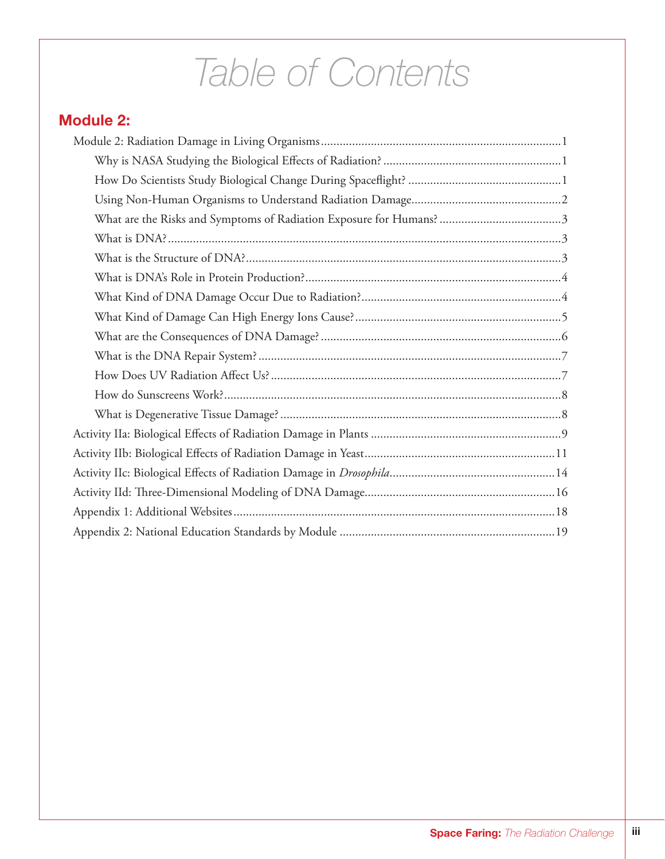# *Table of Contents*

## Module 2: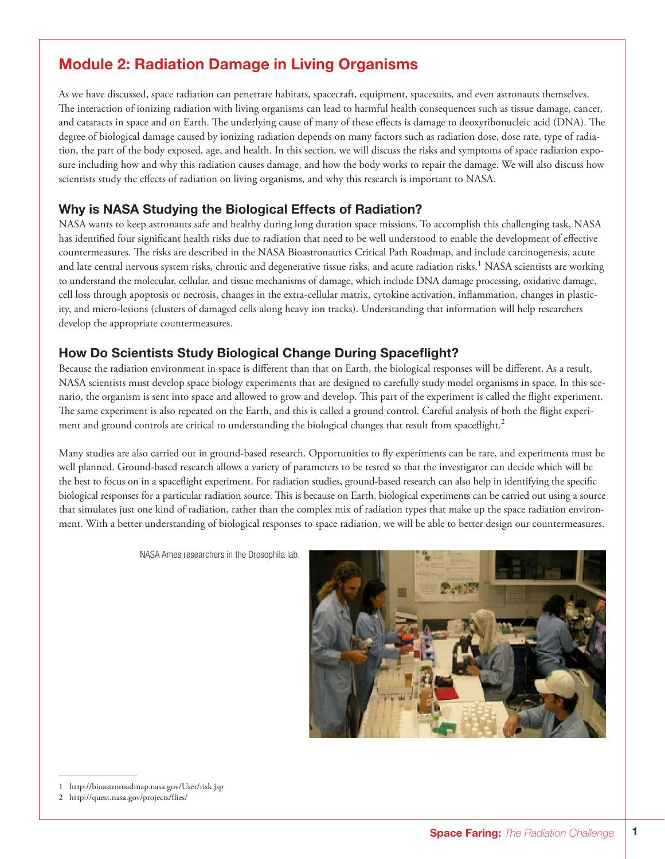## Module 2: Radiation Damage in Living Organisms

As we have discussed, space radiation can penetrate habitats, spacecraft, equipment, spacesuits, and even astronauts themselves. The interaction of ionizing radiation with living organisms can lead to harmful health consequences such as tissue damage, cancer, and cataracts in space and on Earth. The underlying cause of many of these effects is damage to deoxyribonucleic acid (DNA). The degree of biological damage caused by ionizing radiation depends on many factors such as radiation dose, dose rate, type of radiation, the part of the body exposed, age, and health. In this section, we will discuss the risks and symptoms of space radiation exposure including how and why this radiation causes damage, and how the body works to repair the damage. We will also discuss how scientists study the effects of radiation on living organisms, and why this research is important to NASA.

## Why is NASA Studying the Biological Effects of Radiation?

NASA wants to keep astronauts safe and healthy during long duration space missions. To accomplish this challenging task, NASA has identified four significant health risks due to radiation that need to be well understood to enable the development of effective countermeasures. The risks are described in the NASA Bioastronautics Critical Path Roadmap, and include carcinogenesis, acute and late central nervous system risks, chronic and degenerative tissue risks, and acute radiation risks.<sup>1</sup> NASA scientists are working to understand the molecular, cellular, and tissue mechanisms of damage, which include DNA damage processing, oxidative damage, cell loss through apoptosis or necrosis, changes in the extra-cellular matrix, cytokine activation, inflammation, changes in plasticity, and micro-lesions (clusters of damaged cells along heavy ion tracks). Understanding that information will help researchers develop the appropriate countermeasures.

## How Do Scientists Study Biological Change During Spaceflight?

Because the radiation environment in space is different than that on Earth, the biological responses will be different. As a result, NASA scientists must develop space biology experiments that are designed to carefully study model organisms in space. In this scenario, the organism is sent into space and allowed to grow and develop. This part of the experiment is called the flight experiment. The same experiment is also repeated on the Earth, and this is called a ground control. Careful analysis of both the flight experiment and ground controls are critical to understanding the biological changes that result from spaceflight.<sup>2</sup>

Many studies are also carried out in ground-based research. Opportunities to fly experiments can be rare, and experiments must be well planned. Ground-based research allows a variety of parameters to be tested so that the investigator can decide which will be the best to focus on in a spaceflight experiment. For radiation studies, ground-based research can also help in identifying the specific biological responses for a particular radiation source. This is because on Earth, biological experiments can be carried out using a source that simulates just one kind of radiation, rather than the complex mix of radiation types that make up the space radiation environment. With a better understanding of biological responses to space radiation, we will be able to better design our countermeasures.

NASA Ames researchers in the Drosophila lab.



<sup>1</sup> http://bioastroroadmap.nasa.gov/User/risk.jsp

<sup>2</sup> http://quest.nasa.gov/projects/flies/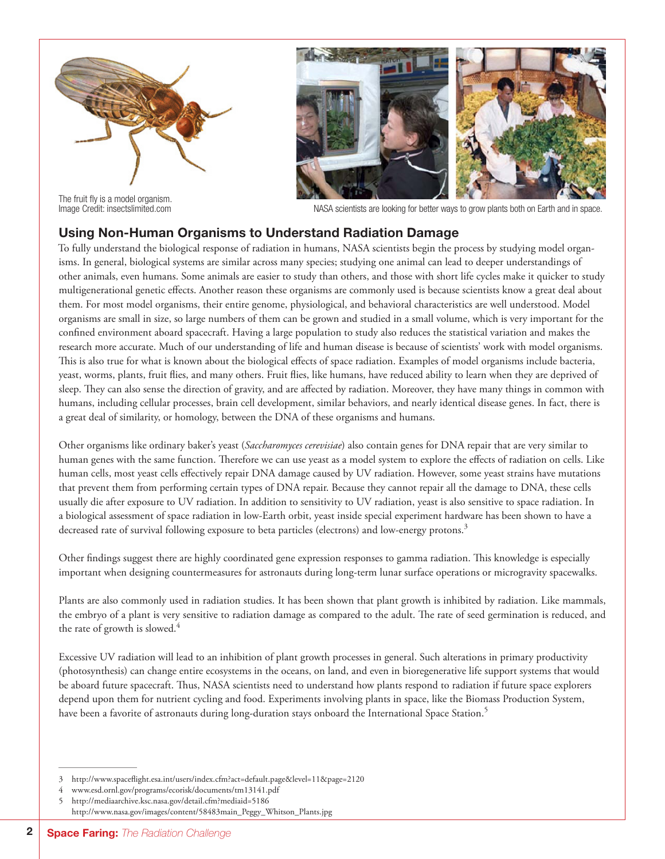

The fruit fly is a model organism.<br>Image Credit: insectslimited.com



NASA scientists are looking for better ways to grow plants both on Earth and in space.

## Using Non-Human Organisms to Understand Radiation Damage

To fully understand the biological response of radiation in humans, NASA scientists begin the process by studying model organisms. In general, biological systems are similar across many species; studying one animal can lead to deeper understandings of other animals, even humans. Some animals are easier to study than others, and those with short life cycles make it quicker to study multigenerational genetic effects. Another reason these organisms are commonly used is because scientists know a great deal about them. For most model organisms, their entire genome, physiological, and behavioral characteristics are well understood. Model organisms are small in size, so large numbers of them can be grown and studied in a small volume, which is very important for the confined environment aboard spacecraft. Having a large population to study also reduces the statistical variation and makes the research more accurate. Much of our understanding of life and human disease is because of scientists' work with model organisms. This is also true for what is known about the biological effects of space radiation. Examples of model organisms include bacteria, yeast, worms, plants, fruit flies, and many others. Fruit flies, like humans, have reduced ability to learn when they are deprived of sleep. They can also sense the direction of gravity, and are affected by radiation. Moreover, they have many things in common with humans, including cellular processes, brain cell development, similar behaviors, and nearly identical disease genes. In fact, there is a great deal of similarity, or homology, between the DNA of these organisms and humans.

Other organisms like ordinary baker's yeast (*Saccharomyces cerevisiae*) also contain genes for DNA repair that are very similar to human genes with the same function. Therefore we can use yeast as a model system to explore the effects of radiation on cells. Like human cells, most yeast cells effectively repair DNA damage caused by UV radiation. However, some yeast strains have mutations that prevent them from performing certain types of DNA repair. Because they cannot repair all the damage to DNA, these cells usually die after exposure to UV radiation. In addition to sensitivity to UV radiation, yeast is also sensitive to space radiation. In a biological assessment of space radiation in low-Earth orbit, yeast inside special experiment hardware has been shown to have a decreased rate of survival following exposure to beta particles (electrons) and low-energy protons.<sup>3</sup>

Other findings suggest there are highly coordinated gene expression responses to gamma radiation. This knowledge is especially important when designing countermeasures for astronauts during long-term lunar surface operations or microgravity spacewalks.

Plants are also commonly used in radiation studies. It has been shown that plant growth is inhibited by radiation. Like mammals, the embryo of a plant is very sensitive to radiation damage as compared to the adult. The rate of seed germination is reduced, and the rate of growth is slowed.<sup>4</sup>

Excessive UV radiation will lead to an inhibition of plant growth processes in general. Such alterations in primary productivity (photosynthesis) can change entire ecosystems in the oceans, on land, and even in bioregenerative life support systems that would be aboard future spacecraft. Thus, NASA scientists need to understand how plants respond to radiation if future space explorers depend upon them for nutrient cycling and food. Experiments involving plants in space, like the Biomass Production System, have been a favorite of astronauts during long-duration stays onboard the International Space Station.<sup>5</sup>

<sup>3</sup> http://www.spaceflight.esa.int/users/index.cfm?act=default.page&level=11&page=2120

<sup>4</sup> www.esd.ornl.gov/programs/ecorisk/documents/tm13141.pdf

<sup>5</sup> http://mediaarchive.ksc.nasa.gov/detail.cfm?mediaid=5186 http://www.nasa.gov/images/content/58483main\_Peggy\_Whitson\_Plants.jpg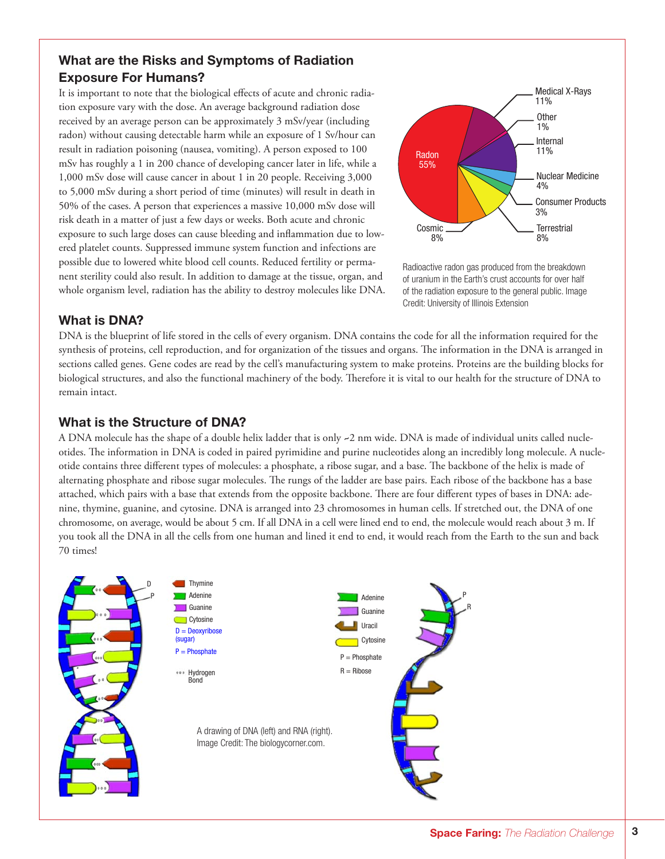## What are the Risks and Symptoms of Radiation Exposure For Humans?

It is important to note that the biological effects of acute and chronic radiation exposure vary with the dose. An average background radiation dose received by an average person can be approximately 3 mSv/year (including radon) without causing detectable harm while an exposure of 1 Sv/hour can result in radiation poisoning (nausea, vomiting). A person exposed to 100 mSv has roughly a 1 in 200 chance of developing cancer later in life, while a 1,000 mSv dose will cause cancer in about 1 in 20 people. Receiving 3,000 to 5,000 mSv during a short period of time (minutes) will result in death in 50% of the cases. A person that experiences a massive 10,000 mSv dose will risk death in a matter of just a few days or weeks. Both acute and chronic exposure to such large doses can cause bleeding and inflammation due to lowered platelet counts. Suppressed immune system function and infections are possible due to lowered white blood cell counts. Reduced fertility or permanent sterility could also result. In addition to damage at the tissue, organ, and whole organism level, radiation has the ability to destroy molecules like DNA.



Radioactive radon gas produced from the breakdown of uranium in the Earth's crust accounts for over half of the radiation exposure to the general public. Image Credit: University of Illinois Extension

## What is DNA?

DNA is the blueprint of life stored in the cells of every organism. DNA contains the code for all the information required for the synthesis of proteins, cell reproduction, and for organization of the tissues and organs. The information in the DNA is arranged in sections called genes. Gene codes are read by the cell's manufacturing system to make proteins. Proteins are the building blocks for biological structures, and also the functional machinery of the body. Therefore it is vital to our health for the structure of DNA to remain intact.

## What is the Structure of DNA?

A DNA molecule has the shape of a double helix ladder that is only **~**2 nm wide. DNA is made of individual units called nucleotides. The information in DNA is coded in paired pyrimidine and purine nucleotides along an incredibly long molecule. A nucleotide contains three different types of molecules: a phosphate, a ribose sugar, and a base. The backbone of the helix is made of alternating phosphate and ribose sugar molecules. The rungs of the ladder are base pairs. Each ribose of the backbone has a base attached, which pairs with a base that extends from the opposite backbone. There are four different types of bases in DNA: adenine, thymine, guanine, and cytosine. DNA is arranged into 23 chromosomes in human cells. If stretched out, the DNA of one chromosome, on average, would be about 5 cm. If all DNA in a cell were lined end to end, the molecule would reach about 3 m. If you took all the DNA in all the cells from one human and lined it end to end, it would reach from the Earth to the sun and back 70 times!

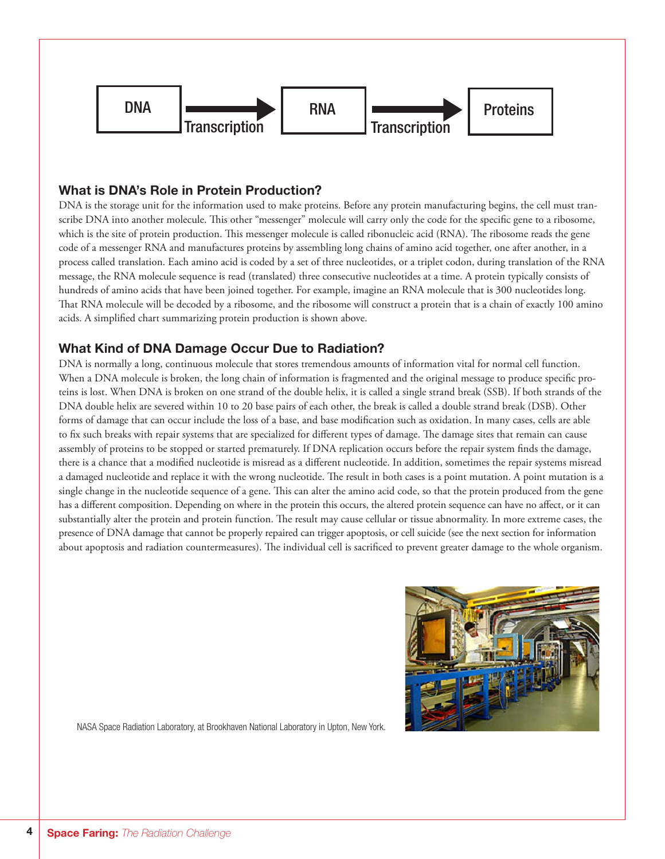

## What is DNA's Role in Protein Production?

DNA is the storage unit for the information used to make proteins. Before any protein manufacturing begins, the cell must transcribe DNA into another molecule. This other "messenger" molecule will carry only the code for the specific gene to a ribosome, which is the site of protein production. This messenger molecule is called ribonucleic acid (RNA). The ribosome reads the gene code of a messenger RNA and manufactures proteins by assembling long chains of amino acid together, one after another, in a process called translation. Each amino acid is coded by a set of three nucleotides, or a triplet codon, during translation of the RNA message, the RNA molecule sequence is read (translated) three consecutive nucleotides at a time. A protein typically consists of hundreds of amino acids that have been joined together. For example, imagine an RNA molecule that is 300 nucleotides long. That RNA molecule will be decoded by a ribosome, and the ribosome will construct a protein that is a chain of exactly 100 amino acids. A simplified chart summarizing protein production is shown above.

## What Kind of DNA Damage Occur Due to Radiation?

DNA is normally a long, continuous molecule that stores tremendous amounts of information vital for normal cell function. When a DNA molecule is broken, the long chain of information is fragmented and the original message to produce specific proteins is lost. When DNA is broken on one strand of the double helix, it is called a single strand break (SSB). If both strands of the DNA double helix are severed within 10 to 20 base pairs of each other, the break is called a double strand break (DSB). Other forms of damage that can occur include the loss of a base, and base modification such as oxidation. In many cases, cells are able to fix such breaks with repair systems that are specialized for different types of damage. The damage sites that remain can cause assembly of proteins to be stopped or started prematurely. If DNA replication occurs before the repair system finds the damage, there is a chance that a modified nucleotide is misread as a different nucleotide. In addition, sometimes the repair systems misread a damaged nucleotide and replace it with the wrong nucleotide. The result in both cases is a point mutation. A point mutation is a single change in the nucleotide sequence of a gene. This can alter the amino acid code, so that the protein produced from the gene has a different composition. Depending on where in the protein this occurs, the altered protein sequence can have no affect, or it can substantially alter the protein and protein function. The result may cause cellular or tissue abnormality. In more extreme cases, the presence of DNA damage that cannot be properly repaired can trigger apoptosis, or cell suicide (see the next section for information about apoptosis and radiation countermeasures). The individual cell is sacrificed to prevent greater damage to the whole organism.



NASA Space Radiation Laboratory, at Brookhaven National Laboratory in Upton, New York.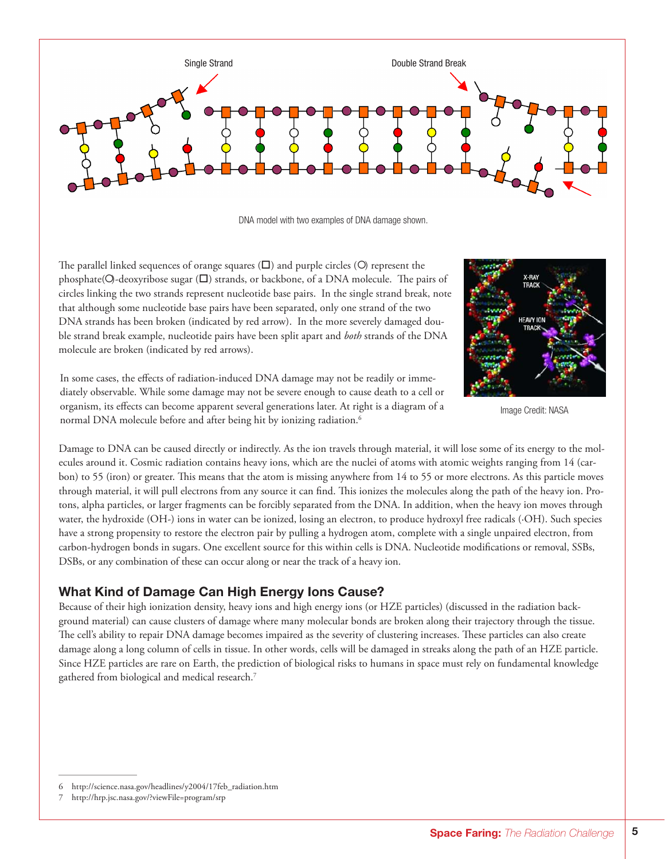

DNA model with two examples of DNA damage shown.

The parallel linked sequences of orange squares  $(\square)$  and purple circles  $(\bigcirc)$  represent the phosphate( $O$ -deoxyribose sugar ( $\square$ ) strands, or backbone, of a DNA molecule. The pairs of circles linking the two strands represent nucleotide base pairs. In the single strand break, note that although some nucleotide base pairs have been separated, only one strand of the two DNA strands has been broken (indicated by red arrow). In the more severely damaged double strand break example, nucleotide pairs have been split apart and *both* strands of the DNA molecule are broken (indicated by red arrows).



Image Credit: NASA

In some cases, the effects of radiation-induced DNA damage may not be readily or immediately observable. While some damage may not be severe enough to cause death to a cell or organism, its effects can become apparent several generations later. At right is a diagram of a normal DNA molecule before and after being hit by ionizing radiation.<sup>6</sup>

Damage to DNA can be caused directly or indirectly. As the ion travels through material, it will lose some of its energy to the molecules around it. Cosmic radiation contains heavy ions, which are the nuclei of atoms with atomic weights ranging from 14 (carbon) to 55 (iron) or greater. This means that the atom is missing anywhere from 14 to 55 or more electrons. As this particle moves through material, it will pull electrons from any source it can find. This ionizes the molecules along the path of the heavy ion. Protons, alpha particles, or larger fragments can be forcibly separated from the DNA. In addition, when the heavy ion moves through water, the hydroxide (OH-) ions in water can be ionized, losing an electron, to produce hydroxyl free radicals (·OH). Such species have a strong propensity to restore the electron pair by pulling a hydrogen atom, complete with a single unpaired electron, from carbon-hydrogen bonds in sugars. One excellent source for this within cells is DNA. Nucleotide modifications or removal, SSBs, DSBs, or any combination of these can occur along or near the track of a heavy ion.

#### What Kind of Damage Can High Energy Ions Cause?

Because of their high ionization density, heavy ions and high energy ions (or HZE particles) (discussed in the radiation background material) can cause clusters of damage where many molecular bonds are broken along their trajectory through the tissue. The cell's ability to repair DNA damage becomes impaired as the severity of clustering increases. These particles can also create damage along a long column of cells in tissue. In other words, cells will be damaged in streaks along the path of an HZE particle. Since HZE particles are rare on Earth, the prediction of biological risks to humans in space must rely on fundamental knowledge gathered from biological and medical research.7

7 http://hrp.jsc.nasa.gov/?viewFile=program/srp

<sup>6</sup> http://science.nasa.gov/headlines/y2004/17feb\_radiation.htm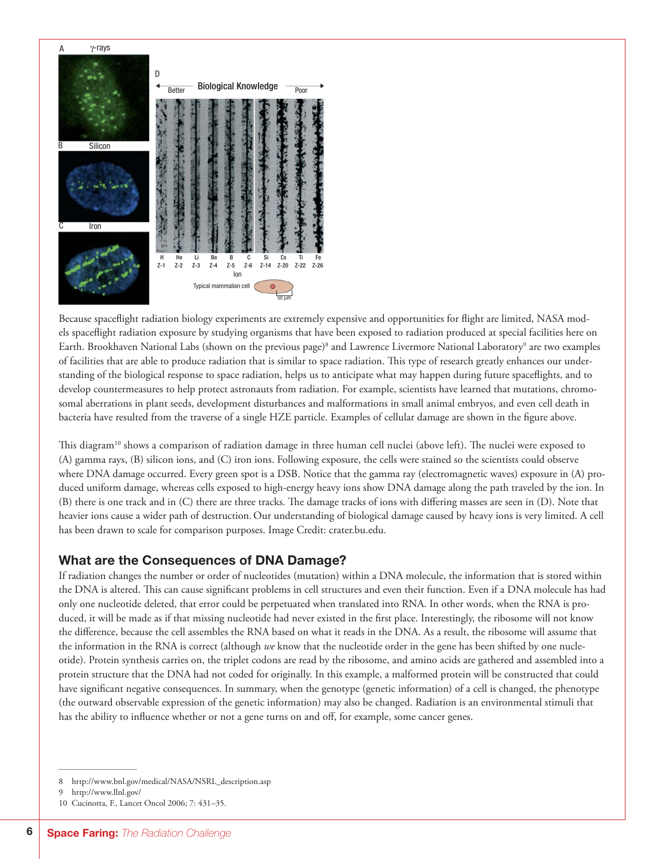

Because spaceflight radiation biology experiments are extremely expensive and opportunities for flight are limited, NASA models spaceflight radiation exposure by studying organisms that have been exposed to radiation produced at special facilities here on Earth. Brookhaven National Labs (shown on the previous page)<sup>8</sup> and Lawrence Livermore National Laboratory<sup>9</sup> are two examples of facilities that are able to produce radiation that is similar to space radiation. This type of research greatly enhances our understanding of the biological response to space radiation, helps us to anticipate what may happen during future spaceflights, and to develop countermeasures to help protect astronauts from radiation. For example, scientists have learned that mutations, chromosomal aberrations in plant seeds, development disturbances and malformations in small animal embryos, and even cell death in bacteria have resulted from the traverse of a single HZE particle. Examples of cellular damage are shown in the figure above.

This diagram<sup>10</sup> shows a comparison of radiation damage in three human cell nuclei (above left). The nuclei were exposed to (A) gamma rays, (B) silicon ions, and (C) iron ions. Following exposure, the cells were stained so the scientists could observe where DNA damage occurred. Every green spot is a DSB. Notice that the gamma ray (electromagnetic waves) exposure in (A) produced uniform damage, whereas cells exposed to high-energy heavy ions show DNA damage along the path traveled by the ion. In (B) there is one track and in (C) there are three tracks. The damage tracks of ions with differing masses are seen in (D). Note that heavier ions cause a wider path of destruction. Our understanding of biological damage caused by heavy ions is very limited. A cell has been drawn to scale for comparison purposes. Image Credit: crater.bu.edu.

## What are the Consequences of DNA Damage?

If radiation changes the number or order of nucleotides (mutation) within a DNA molecule, the information that is stored within the DNA is altered. This can cause significant problems in cell structures and even their function. Even if a DNA molecule has had only one nucleotide deleted, that error could be perpetuated when translated into RNA. In other words, when the RNA is produced, it will be made as if that missing nucleotide had never existed in the first place. Interestingly, the ribosome will not know the difference, because the cell assembles the RNA based on what it reads in the DNA. As a result, the ribosome will assume that the information in the RNA is correct (although *we* know that the nucleotide order in the gene has been shifted by one nucleotide). Protein synthesis carries on, the triplet codons are read by the ribosome, and amino acids are gathered and assembled into a protein structure that the DNA had not coded for originally. In this example, a malformed protein will be constructed that could have significant negative consequences. In summary, when the genotype (genetic information) of a cell is changed, the phenotype (the outward observable expression of the genetic information) may also be changed. Radiation is an environmental stimuli that has the ability to influence whether or not a gene turns on and off, for example, some cancer genes.

<sup>8</sup> http://www.bnl.gov/medical/NASA/NSRL\_description.asp

<sup>9</sup> http://www.llnl.gov/

<sup>10</sup> Cucinotta, F., Lancet Oncol 2006; 7: 431–35.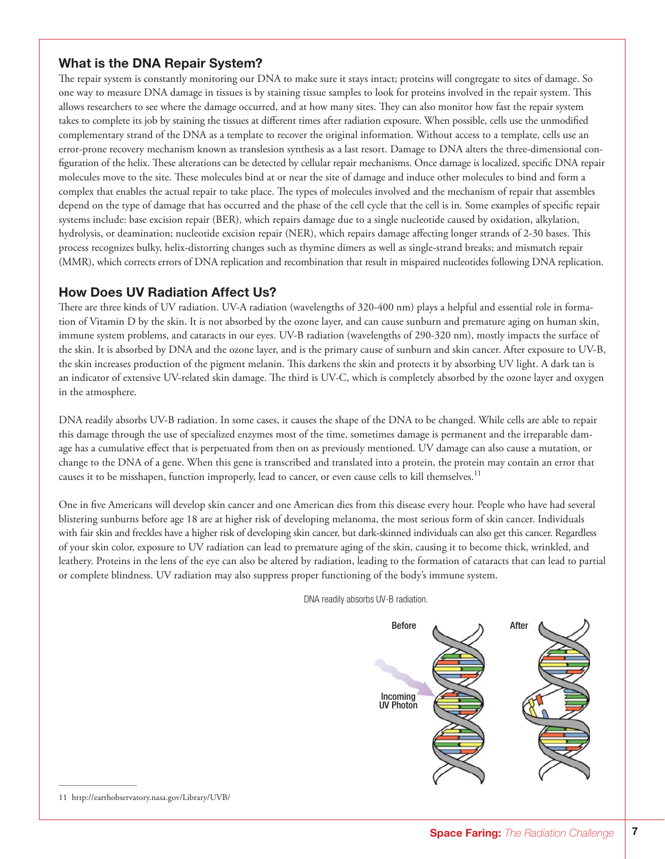## What is the DNA Repair System?

The repair system is constantly monitoring our DNA to make sure it stays intact; proteins will congregate to sites of damage. So one way to measure DNA damage in tissues is by staining tissue samples to look for proteins involved in the repair system. This allows researchers to see where the damage occurred, and at how many sites. They can also monitor how fast the repair system takes to complete its job by staining the tissues at different times after radiation exposure. When possible, cells use the unmodified complementary strand of the DNA as a template to recover the original information. Without access to a template, cells use an error-prone recovery mechanism known as translesion synthesis as a last resort. Damage to DNA alters the three-dimensional configuration of the helix. These alterations can be detected by cellular repair mechanisms. Once damage is localized, specific DNA repair molecules move to the site. These molecules bind at or near the site of damage and induce other molecules to bind and form a complex that enables the actual repair to take place. The types of molecules involved and the mechanism of repair that assembles depend on the type of damage that has occurred and the phase of the cell cycle that the cell is in. Some examples of specific repair systems include: base excision repair (BER), which repairs damage due to a single nucleotide caused by oxidation, alkylation, hydrolysis, or deamination; nucleotide excision repair (NER), which repairs damage affecting longer strands of 2-30 bases. This process recognizes bulky, helix-distorting changes such as thymine dimers as well as single-strand breaks; and mismatch repair (MMR), which corrects errors of DNA replication and recombination that result in mispaired nucleotides following DNA replication.

## How Does UV Radiation Affect Us?

There are three kinds of UV radiation. UV-A radiation (wavelengths of 320-400 nm) plays a helpful and essential role in formation of Vitamin D by the skin. It is not absorbed by the ozone layer, and can cause sunburn and premature aging on human skin, immune system problems, and cataracts in our eyes. UV-B radiation (wavelengths of 290-320 nm), mostly impacts the surface of the skin. It is absorbed by DNA and the ozone layer, and is the primary cause of sunburn and skin cancer. After exposure to UV-B, the skin increases production of the pigment melanin. This darkens the skin and protects it by absorbing UV light. A dark tan is an indicator of extensive UV-related skin damage. The third is UV-C, which is completely absorbed by the ozone layer and oxygen in the atmosphere.

DNA readily absorbs UV-B radiation. In some cases, it causes the shape of the DNA to be changed. While cells are able to repair this damage through the use of specialized enzymes most of the time, sometimes damage is permanent and the irreparable damage has a cumulative effect that is perpetuated from then on as previously mentioned. UV damage can also cause a mutation, or change to the DNA of a gene. When this gene is transcribed and translated into a protein, the protein may contain an error that causes it to be misshapen, function improperly, lead to cancer, or even cause cells to kill themselves.<sup>11</sup>

One in five Americans will develop skin cancer and one American dies from this disease every hour. People who have had several blistering sunburns before age 18 are at higher risk of developing melanoma, the most serious form of skin cancer. Individuals with fair skin and freckles have a higher risk of developing skin cancer, but dark-skinned individuals can also get this cancer. Regardless of your skin color, exposure to UV radiation can lead to premature aging of the skin, causing it to become thick, wrinkled, and leathery. Proteins in the lens of the eye can also be altered by radiation, leading to the formation of cataracts that can lead to partial or complete blindness. UV radiation may also suppress proper functioning of the body's immune system.

DNA readily absorbs UV-B radiation.



11 http://earthobservatory.nasa.gov/Library/UVB/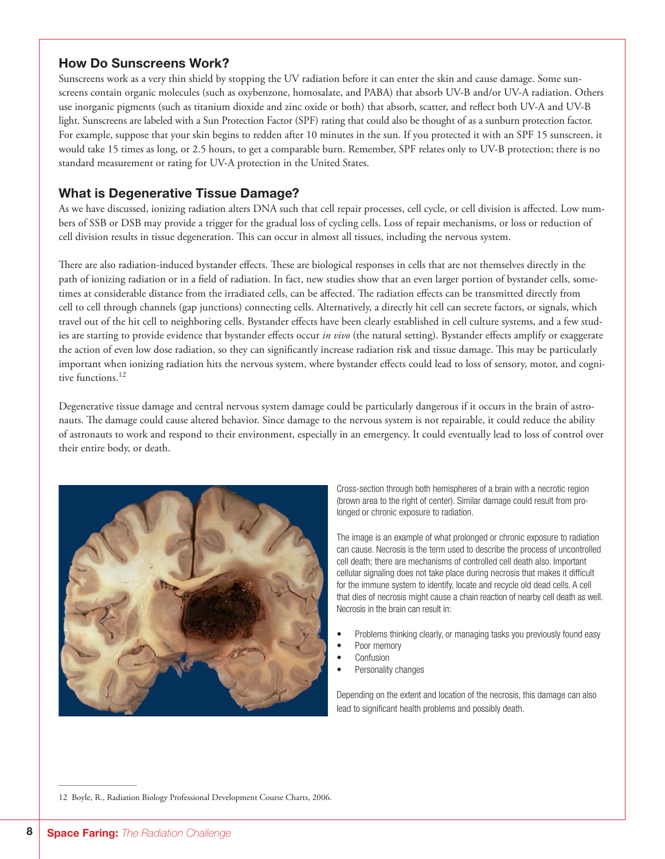## How Do Sunscreens Work?

Sunscreens work as a very thin shield by stopping the UV radiation before it can enter the skin and cause damage. Some sunscreens contain organic molecules (such as oxybenzone, homosalate, and PABA) that absorb UV-B and/or UV-A radiation. Others use inorganic pigments (such as titanium dioxide and zinc oxide or both) that absorb, scatter, and reflect both UV-A and UV-B light. Sunscreens are labeled with a Sun Protection Factor (SPF) rating that could also be thought of as a sunburn protection factor. For example, suppose that your skin begins to redden after 10 minutes in the sun. If you protected it with an SPF 15 sunscreen, it would take 15 times as long, or 2.5 hours, to get a comparable burn. Remember, SPF relates only to UV-B protection; there is no standard measurement or rating for UV-A protection in the United States.

## What is Degenerative Tissue Damage?

As we have discussed, ionizing radiation alters DNA such that cell repair processes, cell cycle, or cell division is affected. Low numbers of SSB or DSB may provide a trigger for the gradual loss of cycling cells. Loss of repair mechanisms, or loss or reduction of cell division results in tissue degeneration. This can occur in almost all tissues, including the nervous system.

There are also radiation-induced bystander effects. These are biological responses in cells that are not themselves directly in the path of ionizing radiation or in a field of radiation. In fact, new studies show that an even larger portion of bystander cells, sometimes at considerable distance from the irradiated cells, can be affected. The radiation effects can be transmitted directly from cell to cell through channels (gap junctions) connecting cells. Alternatively, a directly hit cell can secrete factors, or signals, which travel out of the hit cell to neighboring cells. Bystander effects have been clearly established in cell culture systems, and a few studies are starting to provide evidence that bystander effects occur *in vivo* (the natural setting). Bystander effects amplify or exaggerate the action of even low dose radiation, so they can significantly increase radiation risk and tissue damage. This may be particularly important when ionizing radiation hits the nervous system, where bystander effects could lead to loss of sensory, motor, and cognitive functions.<sup>12</sup>

Degenerative tissue damage and central nervous system damage could be particularly dangerous if it occurs in the brain of astronauts. The damage could cause altered behavior. Since damage to the nervous system is not repairable, it could reduce the ability of astronauts to work and respond to their environment, especially in an emergency. It could eventually lead to loss of control over their entire body, or death.



Cross-section through both hemispheres of a brain with a necrotic region (brown area to the right of center). Similar damage could result from prolonged or chronic exposure to radiation.

The image is an example of what prolonged or chronic exposure to radiation can cause. Necrosis is the term used to describe the process of uncontrolled cell death; there are mechanisms of controlled cell death also. Important cellular signaling does not take place during necrosis that makes it difficult for the immune system to identify, locate and recycle old dead cells. A cell that dies of necrosis might cause a chain reaction of nearby cell death as well. Necrosis in the brain can result in:

- Problems thinking clearly, or managing tasks you previously found easy
- Poor memory
- **Confusion**
- Personality changes

Depending on the extent and location of the necrosis, this damage can also lead to significant health problems and possibly death.

12 Boyle, R., Radiation Biology Professional Development Course Charts, 2006.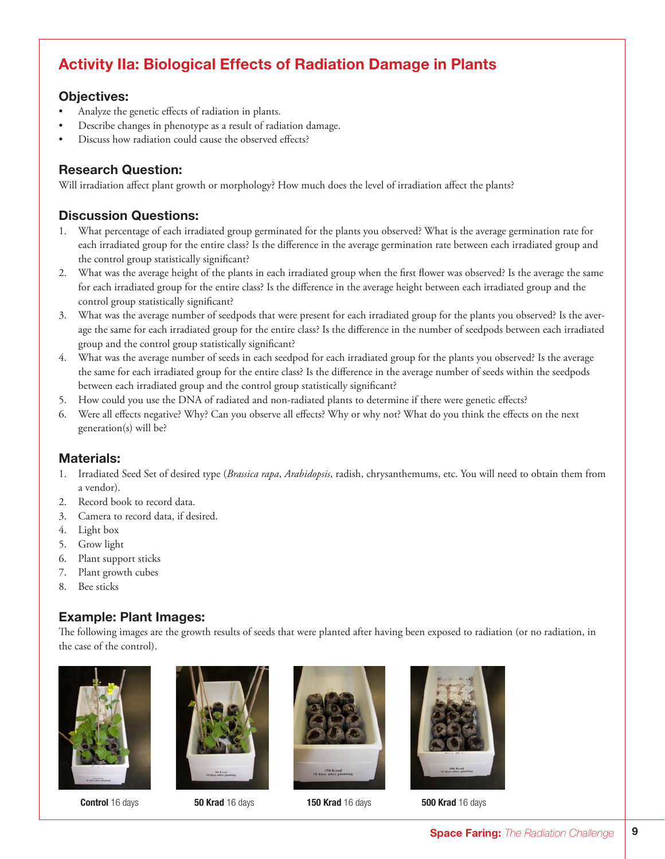# Activity IIa: Biological Effects of Radiation Damage in Plants

## Objectives:

- Analyze the genetic effects of radiation in plants.
- Describe changes in phenotype as a result of radiation damage.
- Discuss how radiation could cause the observed effects?

## Research Question:

Will irradiation affect plant growth or morphology? How much does the level of irradiation affect the plants?

## Discussion Questions:

- 1. What percentage of each irradiated group germinated for the plants you observed? What is the average germination rate for each irradiated group for the entire class? Is the difference in the average germination rate between each irradiated group and the control group statistically significant?
- 2. What was the average height of the plants in each irradiated group when the first flower was observed? Is the average the same for each irradiated group for the entire class? Is the difference in the average height between each irradiated group and the control group statistically significant?
- 3. What was the average number of seedpods that were present for each irradiated group for the plants you observed? Is the average the same for each irradiated group for the entire class? Is the difference in the number of seedpods between each irradiated group and the control group statistically significant?
- 4. What was the average number of seeds in each seedpod for each irradiated group for the plants you observed? Is the average the same for each irradiated group for the entire class? Is the difference in the average number of seeds within the seedpods between each irradiated group and the control group statistically significant?
- 5. How could you use the DNA of radiated and non-radiated plants to determine if there were genetic effects?
- 6. Were all effects negative? Why? Can you observe all effects? Why or why not? What do you think the effects on the next generation(s) will be?

## Materials:

- 1. Irradiated Seed Set of desired type (*Brassica rapa*, *Arabidopsis*, radish, chrysanthemums, etc. You will need to obtain them from a vendor).
- 2. Record book to record data.
- 3. Camera to record data, if desired.
- 4. Light box
- 5. Grow light
- 6. Plant support sticks
- 7. Plant growth cubes
- 8. Bee sticks

## Example: Plant Images:

The following images are the growth results of seeds that were planted after having been exposed to radiation (or no radiation, in the case of the control).











Control 16 days **50 Krad** 16 days **150 Krad** 16 days **500 Krad** 16 days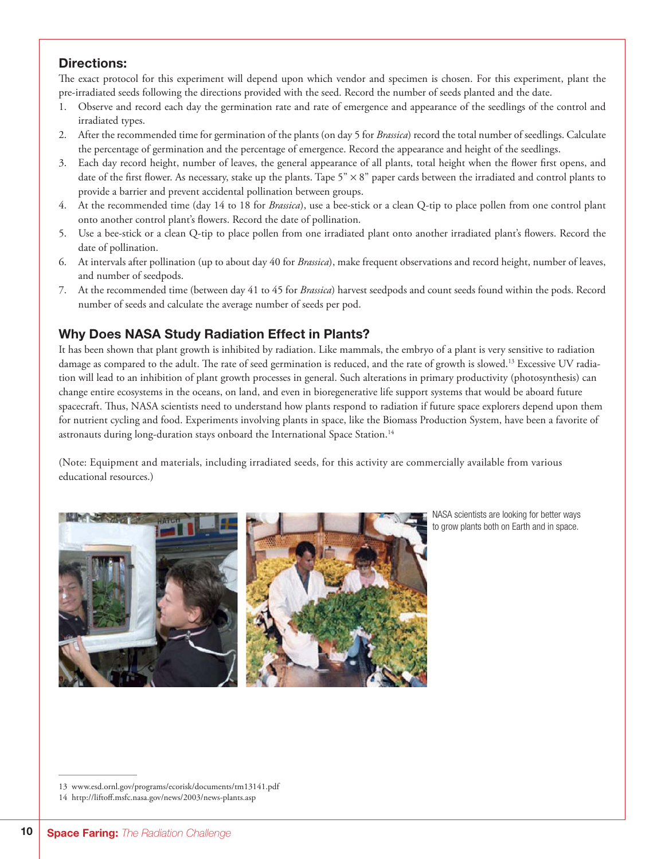## Directions:

The exact protocol for this experiment will depend upon which vendor and specimen is chosen. For this experiment, plant the pre-irradiated seeds following the directions provided with the seed. Record the number of seeds planted and the date.

- 1. Observe and record each day the germination rate and rate of emergence and appearance of the seedlings of the control and irradiated types.
- 2. After the recommended time for germination of the plants (on day 5 for *Brassica*) record the total number of seedlings. Calculate the percentage of germination and the percentage of emergence. Record the appearance and height of the seedlings.
- 3. Each day record height, number of leaves, the general appearance of all plants, total height when the flower first opens, and date of the first flower. As necessary, stake up the plants. Tape  $5" \times 8"$  paper cards between the irradiated and control plants to provide a barrier and prevent accidental pollination between groups.
- 4. At the recommended time (day 14 to 18 for *Brassica*), use a bee-stick or a clean Q-tip to place pollen from one control plant onto another control plant's flowers. Record the date of pollination.
- 5. Use a bee-stick or a clean Q-tip to place pollen from one irradiated plant onto another irradiated plant's flowers. Record the date of pollination.
- 6. At intervals after pollination (up to about day 40 for *Brassica*), make frequent observations and record height, number of leaves, and number of seedpods.
- 7. At the recommended time (between day 41 to 45 for *Brassica*) harvest seedpods and count seeds found within the pods. Record number of seeds and calculate the average number of seeds per pod.

## Why Does NASA Study Radiation Effect in Plants?

It has been shown that plant growth is inhibited by radiation. Like mammals, the embryo of a plant is very sensitive to radiation damage as compared to the adult. The rate of seed germination is reduced, and the rate of growth is slowed.<sup>13</sup> Excessive UV radiation will lead to an inhibition of plant growth processes in general. Such alterations in primary productivity (photosynthesis) can change entire ecosystems in the oceans, on land, and even in bioregenerative life support systems that would be aboard future spacecraft. Thus, NASA scientists need to understand how plants respond to radiation if future space explorers depend upon them for nutrient cycling and food. Experiments involving plants in space, like the Biomass Production System, have been a favorite of astronauts during long-duration stays onboard the International Space Station.<sup>14</sup>

(Note: Equipment and materials, including irradiated seeds, for this activity are commercially available from various educational resources.)



NASA scientists are looking for better ways to grow plants both on Earth and in space.

<sup>13</sup> www.esd.ornl.gov/programs/ecorisk/documents/tm13141.pdf

<sup>14</sup> http://liftoff.msfc.nasa.gov/news/2003/news-plants.asp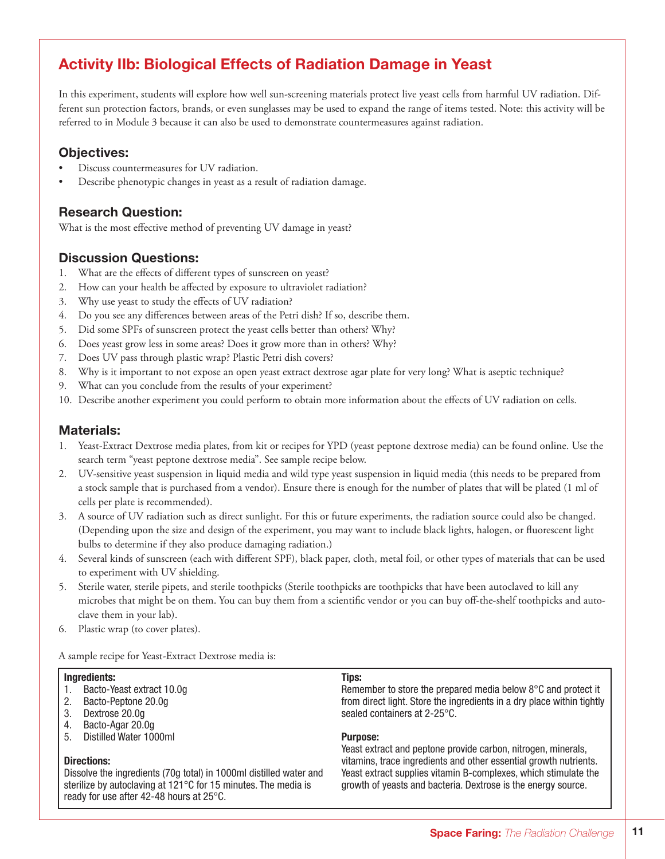# Activity IIb: Biological Effects of Radiation Damage in Yeast

In this experiment, students will explore how well sun-screening materials protect live yeast cells from harmful UV radiation. Different sun protection factors, brands, or even sunglasses may be used to expand the range of items tested. Note: this activity will be referred to in Module 3 because it can also be used to demonstrate countermeasures against radiation.

## Objectives:

- Discuss countermeasures for UV radiation.
- Describe phenotypic changes in yeast as a result of radiation damage.

## Research Question:

What is the most effective method of preventing UV damage in yeast?

## Discussion Questions:

- 1. What are the effects of different types of sunscreen on yeast?
- 2. How can your health be affected by exposure to ultraviolet radiation?
- 3. Why use yeast to study the effects of UV radiation?
- 4. Do you see any differences between areas of the Petri dish? If so, describe them.
- 5. Did some SPFs of sunscreen protect the yeast cells better than others? Why?
- 6. Does yeast grow less in some areas? Does it grow more than in others? Why?
- 7. Does UV pass through plastic wrap? Plastic Petri dish covers?
- 8. Why is it important to not expose an open yeast extract dextrose agar plate for very long? What is aseptic technique?
- 9. What can you conclude from the results of your experiment?
- 10. Describe another experiment you could perform to obtain more information about the effects of UV radiation on cells.

### Materials:

- 1. Yeast-Extract Dextrose media plates, from kit or recipes for YPD (yeast peptone dextrose media) can be found online. Use the search term "yeast peptone dextrose media". See sample recipe below.
- 2. UV-sensitive yeast suspension in liquid media and wild type yeast suspension in liquid media (this needs to be prepared from a stock sample that is purchased from a vendor). Ensure there is enough for the number of plates that will be plated (1 ml of cells per plate is recommended).
- 3. A source of UV radiation such as direct sunlight. For this or future experiments, the radiation source could also be changed. (Depending upon the size and design of the experiment, you may want to include black lights, halogen, or fluorescent light bulbs to determine if they also produce damaging radiation.)
- 4. Several kinds of sunscreen (each with different SPF), black paper, cloth, metal foil, or other types of materials that can be used to experiment with UV shielding.
- 5. Sterile water, sterile pipets, and sterile toothpicks (Sterile toothpicks are toothpicks that have been autoclaved to kill any microbes that might be on them. You can buy them from a scientific vendor or you can buy off-the-shelf toothpicks and autoclave them in your lab).
- 6. Plastic wrap (to cover plates).

A sample recipe for Yeast-Extract Dextrose media is:

#### Ingredients:

- 1. Bacto-Yeast extract 10.0g
- 2. Bacto-Peptone 20.0g
- 3. Dextrose 20.0g
- 4. Bacto-Agar 20.0g
- 5. Distilled Water 1000ml

#### Directions:

Dissolve the ingredients (70g total) in 1000ml distilled water and sterilize by autoclaving at 121°C for 15 minutes. The media is ready for use after 42-48 hours at 25°C.

#### Tips:

Remember to store the prepared media below 8°C and protect it from direct light. Store the ingredients in a dry place within tightly sealed containers at 2-25°C.

#### Purpose:

Yeast extract and peptone provide carbon, nitrogen, minerals, vitamins, trace ingredients and other essential growth nutrients. Yeast extract supplies vitamin B-complexes, which stimulate the growth of yeasts and bacteria. Dextrose is the energy source.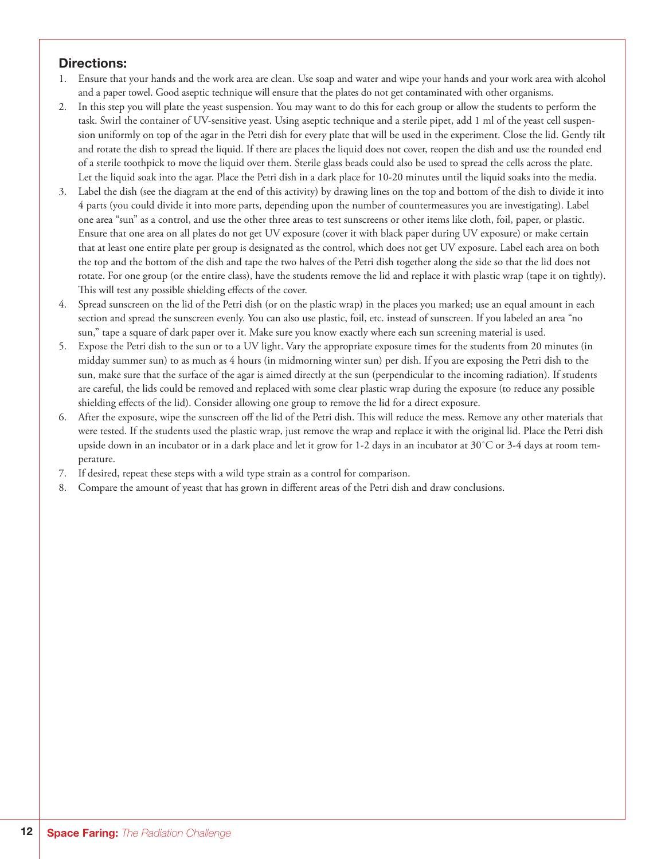## Directions:

- 1. Ensure that your hands and the work area are clean. Use soap and water and wipe your hands and your work area with alcohol and a paper towel. Good aseptic technique will ensure that the plates do not get contaminated with other organisms.
- 2. In this step you will plate the yeast suspension. You may want to do this for each group or allow the students to perform the task. Swirl the container of UV-sensitive yeast. Using aseptic technique and a sterile pipet, add 1 ml of the yeast cell suspension uniformly on top of the agar in the Petri dish for every plate that will be used in the experiment. Close the lid. Gently tilt and rotate the dish to spread the liquid. If there are places the liquid does not cover, reopen the dish and use the rounded end of a sterile toothpick to move the liquid over them. Sterile glass beads could also be used to spread the cells across the plate. Let the liquid soak into the agar. Place the Petri dish in a dark place for 10-20 minutes until the liquid soaks into the media.
- 3. Label the dish (see the diagram at the end of this activity) by drawing lines on the top and bottom of the dish to divide it into 4 parts (you could divide it into more parts, depending upon the number of countermeasures you are investigating). Label one area "sun" as a control, and use the other three areas to test sunscreens or other items like cloth, foil, paper, or plastic. Ensure that one area on all plates do not get UV exposure (cover it with black paper during UV exposure) or make certain that at least one entire plate per group is designated as the control, which does not get UV exposure. Label each area on both the top and the bottom of the dish and tape the two halves of the Petri dish together along the side so that the lid does not rotate. For one group (or the entire class), have the students remove the lid and replace it with plastic wrap (tape it on tightly). This will test any possible shielding effects of the cover.
- 4. Spread sunscreen on the lid of the Petri dish (or on the plastic wrap) in the places you marked; use an equal amount in each section and spread the sunscreen evenly. You can also use plastic, foil, etc. instead of sunscreen. If you labeled an area "no sun," tape a square of dark paper over it. Make sure you know exactly where each sun screening material is used.
- 5. Expose the Petri dish to the sun or to a UV light. Vary the appropriate exposure times for the students from 20 minutes (in midday summer sun) to as much as 4 hours (in midmorning winter sun) per dish. If you are exposing the Petri dish to the sun, make sure that the surface of the agar is aimed directly at the sun (perpendicular to the incoming radiation). If students are careful, the lids could be removed and replaced with some clear plastic wrap during the exposure (to reduce any possible shielding effects of the lid). Consider allowing one group to remove the lid for a direct exposure.
- 6. After the exposure, wipe the sunscreen off the lid of the Petri dish. This will reduce the mess. Remove any other materials that were tested. If the students used the plastic wrap, just remove the wrap and replace it with the original lid. Place the Petri dish upside down in an incubator or in a dark place and let it grow for 1-2 days in an incubator at  $30^{\circ}$ C or  $3-4$  days at room temperature.
- 7. If desired, repeat these steps with a wild type strain as a control for comparison.
- Compare the amount of yeast that has grown in different areas of the Petri dish and draw conclusions.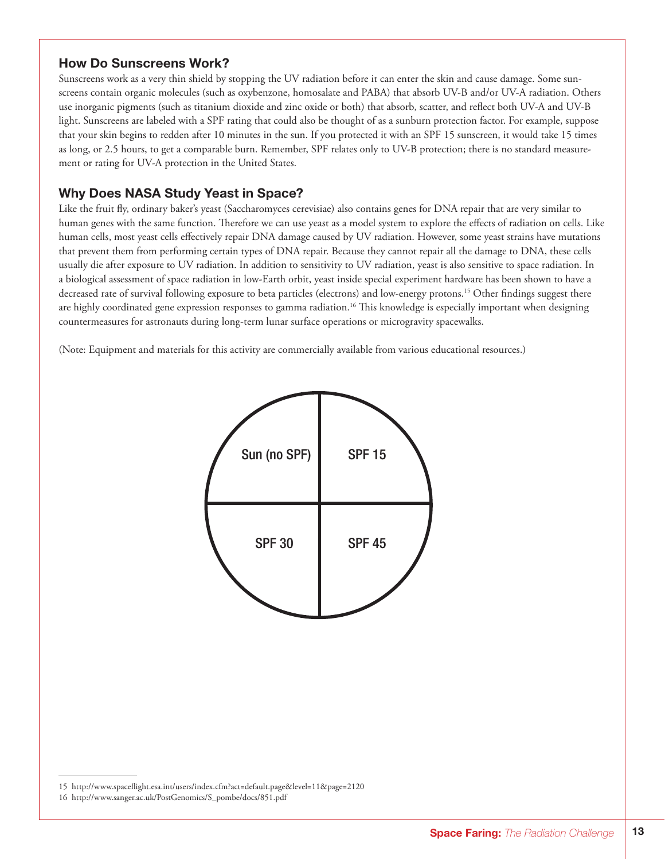## How Do Sunscreens Work?

Sunscreens work as a very thin shield by stopping the UV radiation before it can enter the skin and cause damage. Some sunscreens contain organic molecules (such as oxybenzone, homosalate and PABA) that absorb UV-B and/or UV-A radiation. Others use inorganic pigments (such as titanium dioxide and zinc oxide or both) that absorb, scatter, and reflect both UV-A and UV-B light. Sunscreens are labeled with a SPF rating that could also be thought of as a sunburn protection factor. For example, suppose that your skin begins to redden after 10 minutes in the sun. If you protected it with an SPF 15 sunscreen, it would take 15 times as long, or 2.5 hours, to get a comparable burn. Remember, SPF relates only to UV-B protection; there is no standard measurement or rating for UV-A protection in the United States.

## Why Does NASA Study Yeast in Space?

Like the fruit fly, ordinary baker's yeast (Saccharomyces cerevisiae) also contains genes for DNA repair that are very similar to human genes with the same function. Therefore we can use yeast as a model system to explore the effects of radiation on cells. Like human cells, most yeast cells effectively repair DNA damage caused by UV radiation. However, some yeast strains have mutations that prevent them from performing certain types of DNA repair. Because they cannot repair all the damage to DNA, these cells usually die after exposure to UV radiation. In addition to sensitivity to UV radiation, yeast is also sensitive to space radiation. In a biological assessment of space radiation in low-Earth orbit, yeast inside special experiment hardware has been shown to have a decreased rate of survival following exposure to beta particles (electrons) and low-energy protons.<sup>15</sup> Other findings suggest there are highly coordinated gene expression responses to gamma radiation.<sup>16</sup> This knowledge is especially important when designing countermeasures for astronauts during long-term lunar surface operations or microgravity spacewalks.

(Note: Equipment and materials for this activity are commercially available from various educational resources.)



<sup>15</sup> http://www.spaceflight.esa.int/users/index.cfm?act=default.page&level=11&page=2120

<sup>16</sup> http://www.sanger.ac.uk/PostGenomics/S\_pombe/docs/851.pdf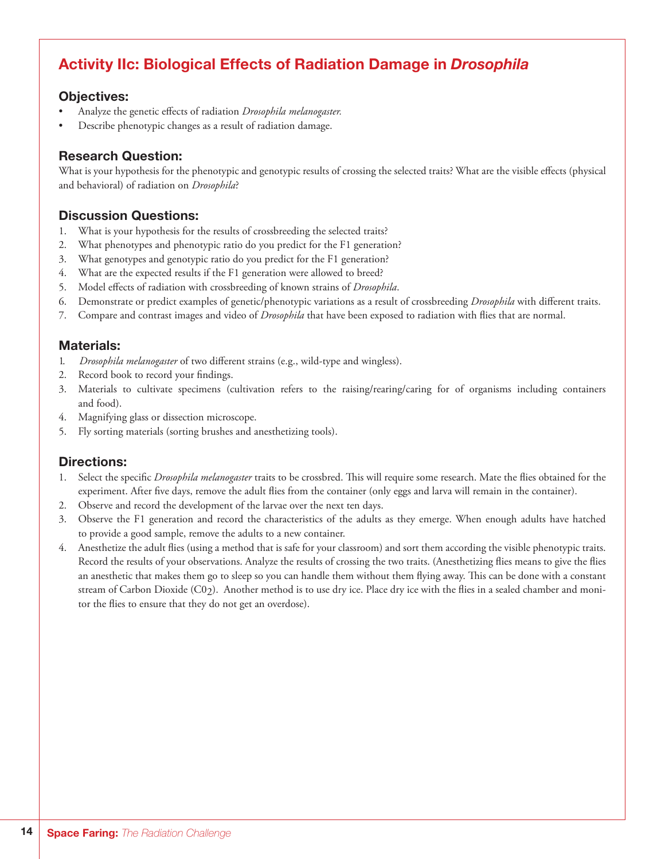# Activity IIc: Biological Effects of Radiation Damage in *Drosophila*

## Objectives:

- Analyze the genetic effects of radiation *Drosophila melanogaster*.
- Describe phenotypic changes as a result of radiation damage.

## Research Question:

What is your hypothesis for the phenotypic and genotypic results of crossing the selected traits? What are the visible effects (physical and behavioral) of radiation on *Drosophila*?

## Discussion Questions:

- 1. What is your hypothesis for the results of crossbreeding the selected traits?
- 2. What phenotypes and phenotypic ratio do you predict for the F1 generation?
- 3. What genotypes and genotypic ratio do you predict for the F1 generation?
- 4. What are the expected results if the F1 generation were allowed to breed?
- 5. Model effects of radiation with crossbreeding of known strains of *Drosophila*.
- 6. Demonstrate or predict examples of genetic/phenotypic variations as a result of crossbreeding *Drosophila* with different traits.
- 7. Compare and contrast images and video of *Drosophila* that have been exposed to radiation with flies that are normal.

## Materials:

- 1. *Drosophila melanogaster* of two different strains (e.g., wild-type and wingless).
- 2. Record book to record your findings.
- 3. Materials to cultivate specimens (cultivation refers to the raising/rearing/caring for of organisms including containers and food).
- 4. Magnifying glass or dissection microscope.
- 5. Fly sorting materials (sorting brushes and anesthetizing tools).

## Directions:

- 1. Select the specific *Drosophila melanogaster* traits to be crossbred. This will require some research. Mate the flies obtained for the experiment. After five days, remove the adult flies from the container (only eggs and larva will remain in the container).
- 2. Observe and record the development of the larvae over the next ten days.
- 3. Observe the F1 generation and record the characteristics of the adults as they emerge. When enough adults have hatched to provide a good sample, remove the adults to a new container.
- 4. Anesthetize the adult flies (using a method that is safe for your classroom) and sort them according the visible phenotypic traits. Record the results of your observations. Analyze the results of crossing the two traits. (Anesthetizing flies means to give the flies an anesthetic that makes them go to sleep so you can handle them without them flying away. This can be done with a constant stream of Carbon Dioxide (C02). Another method is to use dry ice. Place dry ice with the flies in a sealed chamber and monitor the flies to ensure that they do not get an overdose).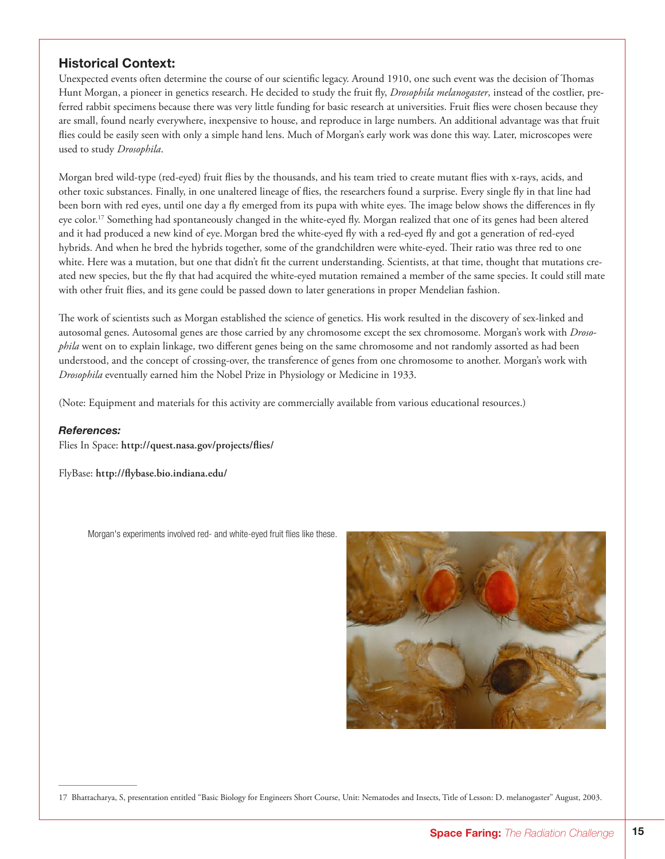## Historical Context:

Unexpected events often determine the course of our scientific legacy. Around 1910, one such event was the decision of Thomas Hunt Morgan, a pioneer in genetics research. He decided to study the fruit fly, *Drosophila melanogaster*, instead of the costlier, preferred rabbit specimens because there was very little funding for basic research at universities. Fruit flies were chosen because they are small, found nearly everywhere, inexpensive to house, and reproduce in large numbers. An additional advantage was that fruit flies could be easily seen with only a simple hand lens. Much of Morgan's early work was done this way. Later, microscopes were used to study *Drosophila*.

Morgan bred wild-type (red-eyed) fruit flies by the thousands, and his team tried to create mutant flies with x-rays, acids, and other toxic substances. Finally, in one unaltered lineage of flies, the researchers found a surprise. Every single fly in that line had been born with red eyes, until one day a fly emerged from its pupa with white eyes. The image below shows the differences in fly eye color.<sup>17</sup> Something had spontaneously changed in the white-eyed fly. Morgan realized that one of its genes had been altered and it had produced a new kind of eye.Morgan bred the white-eyed fly with a red-eyed fly and got a generation of red-eyed hybrids. And when he bred the hybrids together, some of the grandchildren were white-eyed. Their ratio was three red to one white. Here was a mutation, but one that didn't fit the current understanding. Scientists, at that time, thought that mutations created new species, but the fly that had acquired the white-eyed mutation remained a member of the same species. It could still mate with other fruit flies, and its gene could be passed down to later generations in proper Mendelian fashion.

The work of scientists such as Morgan established the science of genetics. His work resulted in the discovery of sex-linked and autosomal genes. Autosomal genes are those carried by any chromosome except the sex chromosome. Morgan's work with *Drosophila* went on to explain linkage, two different genes being on the same chromosome and not randomly assorted as had been understood, and the concept of crossing-over, the transference of genes from one chromosome to another. Morgan's work with *Drosophila* eventually earned him the Nobel Prize in Physiology or Medicine in 1933.

(Note: Equipment and materials for this activity are commercially available from various educational resources.)

#### *References:*

Flies In Space: **http://quest.nasa.gov/projects/flies/**

FlyBase: **http://flybase.bio.indiana.edu/**

Morgan's experiments involved red- and white-eyed fruit flies like these.



<sup>17</sup> Bhattacharya, S, presentation entitled "Basic Biology for Engineers Short Course, Unit: Nematodes and Insects, Title of Lesson: D. melanogaster" August, 2003.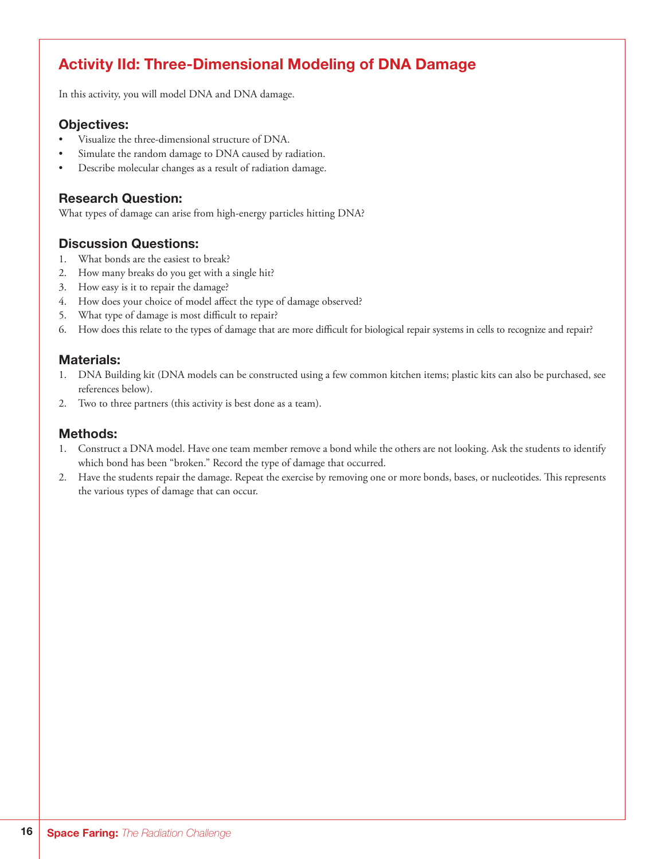# Activity IId: Three-Dimensional Modeling of DNA Damage

In this activity, you will model DNA and DNA damage.

## Objectives:

- Visualize the three-dimensional structure of DNA.
- Simulate the random damage to DNA caused by radiation.
- Describe molecular changes as a result of radiation damage.

## Research Question:

What types of damage can arise from high-energy particles hitting DNA?

## Discussion Questions:

- 1. What bonds are the easiest to break?
- 2. How many breaks do you get with a single hit?
- 3. How easy is it to repair the damage?
- 4. How does your choice of model affect the type of damage observed?
- 5. What type of damage is most difficult to repair?
- 6. How does this relate to the types of damage that are more difficult for biological repair systems in cells to recognize and repair?

#### Materials:

- 1. DNA Building kit (DNA models can be constructed using a few common kitchen items; plastic kits can also be purchased, see references below).
- 2. Two to three partners (this activity is best done as a team).

## Methods:

- 1. Construct a DNA model. Have one team member remove a bond while the others are not looking. Ask the students to identify which bond has been "broken." Record the type of damage that occurred.
- 2. Have the students repair the damage. Repeat the exercise by removing one or more bonds, bases, or nucleotides. This represents the various types of damage that can occur.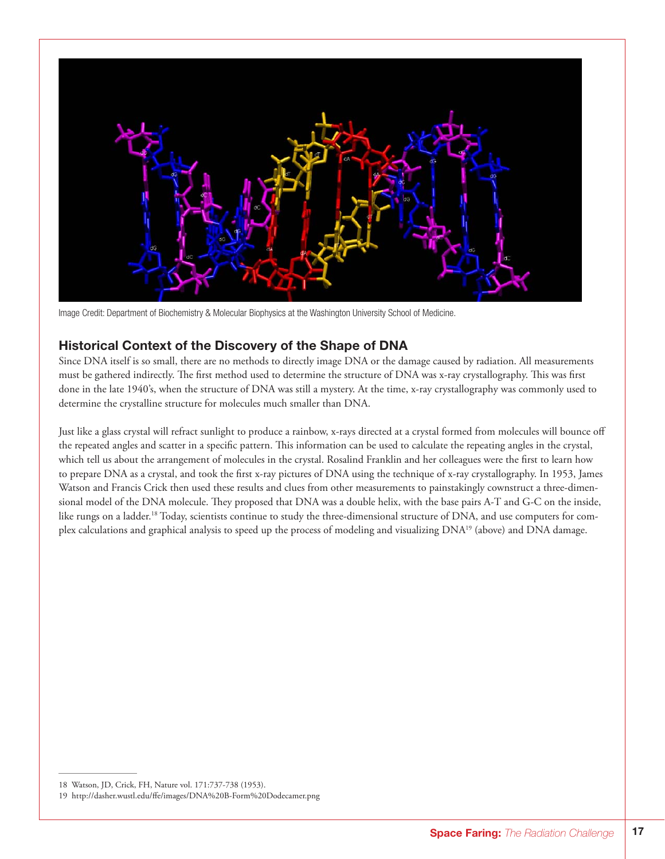

Image Credit: Department of Biochemistry & Molecular Biophysics at the Washington University School of Medicine.

#### Historical Context of the Discovery of the Shape of DNA

Since DNA itself is so small, there are no methods to directly image DNA or the damage caused by radiation. All measurements must be gathered indirectly. The first method used to determine the structure of DNA was x-ray crystallography. This was first done in the late 1940's, when the structure of DNA was still a mystery. At the time, x-ray crystallography was commonly used to determine the crystalline structure for molecules much smaller than DNA.

Just like a glass crystal will refract sunlight to produce a rainbow, x-rays directed at a crystal formed from molecules will bounce off the repeated angles and scatter in a specific pattern. This information can be used to calculate the repeating angles in the crystal, which tell us about the arrangement of molecules in the crystal. Rosalind Franklin and her colleagues were the first to learn how to prepare DNA as a crystal, and took the first x-ray pictures of DNA using the technique of x-ray crystallography. In 1953, James Watson and Francis Crick then used these results and clues from other measurements to painstakingly cownstruct a three-dimensional model of the DNA molecule. They proposed that DNA was a double helix, with the base pairs A-T and G-C on the inside, like rungs on a ladder.<sup>18</sup> Today, scientists continue to study the three-dimensional structure of DNA, and use computers for complex calculations and graphical analysis to speed up the process of modeling and visualizing DNA19 (above) and DNA damage.

<sup>18</sup> Watson, JD, Crick, FH, Nature vol. 171:737-738 (1953).

<sup>19</sup> http://dasher.wustl.edu/ffe/images/DNA%20B-Form%20Dodecamer.png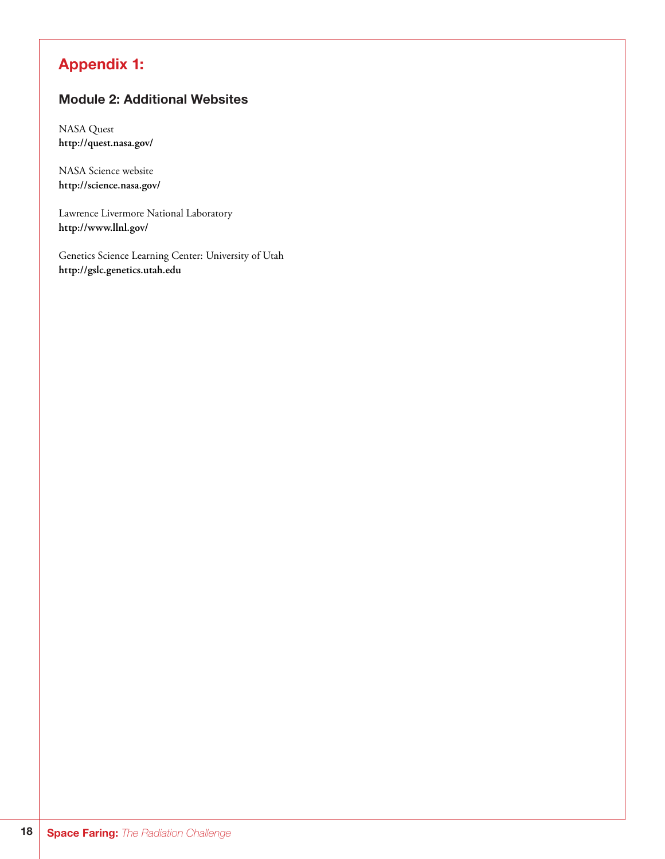# Appendix 1:

## Module 2: Additional Websites

NASA Quest **http://quest.nasa.gov/**

NASA Science website **http://science.nasa.gov/**

Lawrence Livermore National Laboratory **http://www.llnl.gov/**

Genetics Science Learning Center: University of Utah **http://gslc.genetics.utah.edu**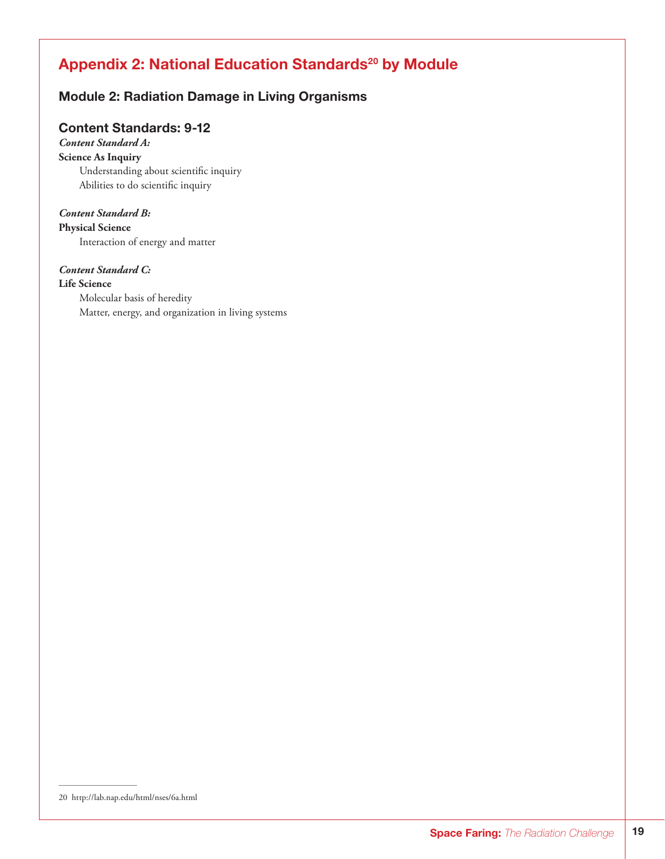# Appendix 2: National Education Standards<sup>20</sup> by Module

## Module 2: Radiation Damage in Living Organisms

## Content Standards: 9-12

## *Content Standard A:*

**Science As Inquiry** Understanding about scientific inquiry Abilities to do scientific inquiry

#### *Content Standard B:*

**Physical Science** Interaction of energy and matter

## *Content Standard C:*

**Life Science** Molecular basis of heredity Matter, energy, and organization in living systems

<sup>20</sup> http://lab.nap.edu/html/nses/6a.html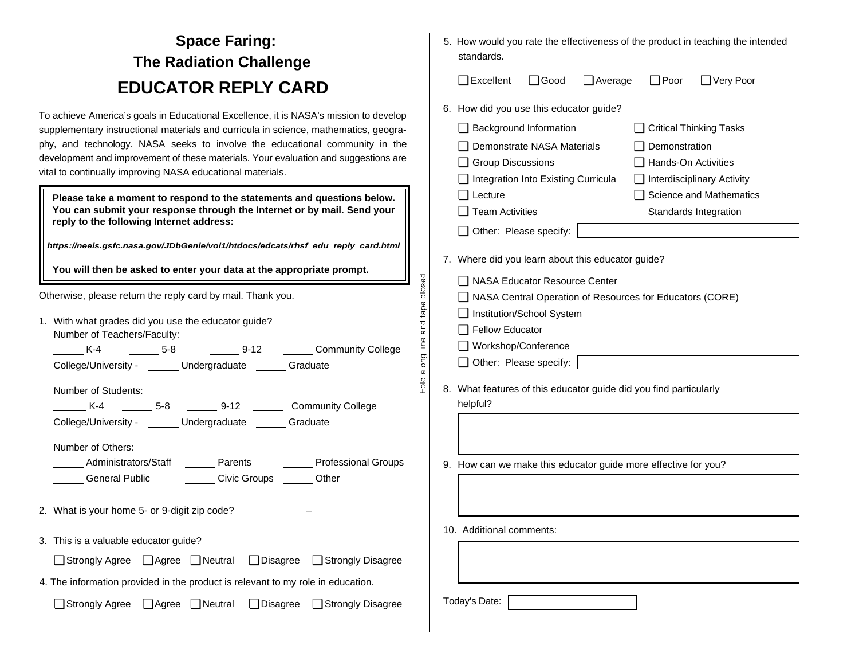# **Space Faring: The Radiation Challenge EDUCATOR REPLY CARD**

To achieve America's goals in Educational Excellence, it is NASA's mission to develop supplementary instructional materials and curricula in science, mathematics, geography, and technology. NASA seeks to involve the educational community in the development and improvement of these materials. Your evaluation and suggestions are vital to continually improving NASA educational materials.

**Please take a moment to respond to the statements and questions below. You can submit your response through the Internet or by mail. Send your reply to the following Internet address:** 

*https://neeis.gsfc.nasa.gov/JDbGenie/vol1/htdocs/edcats/rhsf\_edu\_reply\_card.html*

**You will then be asked to enter your data at the appropriate prompt.** 

Otherwise, please return the reply card by mail. Thank you.

1. With what grades did you use the educator guide? Number of Teachers/Faculty:

 K-4 5-8 9-12 Community College College/University - \_\_\_\_\_\_ Undergraduate \_\_\_\_\_\_ Graduate

Number of Students:

 K-4 5-8 9-12 Community College College/University - Undergraduate Graduate

Number of Others:

- Administrators/Staff Parents Professional Groups General Public Civic Groups Civic Groups Cher
- 2. What is your home 5- or 9-digit zip code?
- 3. This is a valuable educator quide?

❏ Strongly Agree ❏ Agree ❏ Neutral ❏ Disagree ❏ Strongly Disagree

4. The information provided in the product is relevant to my role in education.

❏ Strongly Agree ❏ Agree ❏ Neutral ❏ Disagree ❏ Strongly Disagree

5. How would you rate the effectiveness of the product in teaching the intended standards.

❏ Excellent ❏ Good ❏ Average ❏ Poor ❏ Very Poor

- 6. How did you use this educator guide?
- ❏ Background Information ❏ Critical Thinking Tasks ❏ Demonstrate NASA Materials ❏ Demonstration ❏ Group Discussions ❏ Hands-On Activities ❏ Integration Into Existing Curricula ❏ Interdisciplinary Activity ❏ Lecture ❏ Science and Mathematics □ Team Activities Standards Integration ❏ Other: Please specify:

7. Where did you learn about this educator guide?

- ❏ NASA Educator Resource Center
- ❏ NASA Central Operation of Resources for Educators (CORE)
- ❏ Institution/School System
- □ Fellow Educator

closed.

and tape

along line

 $F$ old

- ❏ Workshop/Conference
- ❏ Other: Please specify:
- 8. What features of this educator guide did you find particularly helpful?
- 9. How can we make this educator quide more effective for you?

10. Additional comments:

Today's Date: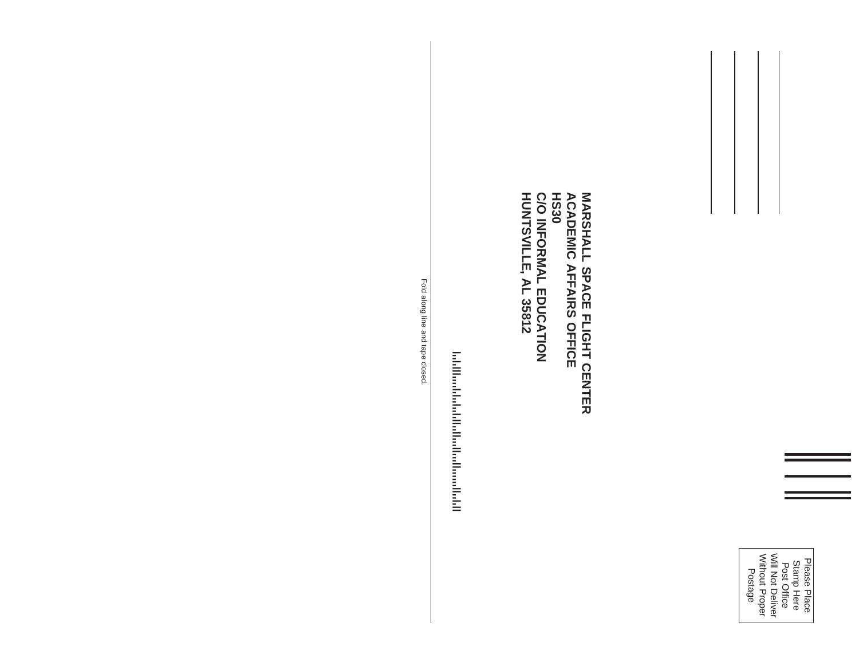

**MARSHALL SPACE FLIGHT CENTER HUNTSVILLE, AL 35812 C/O INFORMAL EDUCATION MARSHALL SPACE FLIGHT CENTER<br>ACADEMIC AFFAIRS OFFICE<br>HS30<br>C/O INFORMAL EDUCATION<br>HUNTSVILLE, AL 35812 ACADEMIC AFFAIRS OFFICE**

**Information of the context of the context of the context of the context of the context of the context** !2054600012!

Fold along line and tape closed. Fold along line and tape closed.